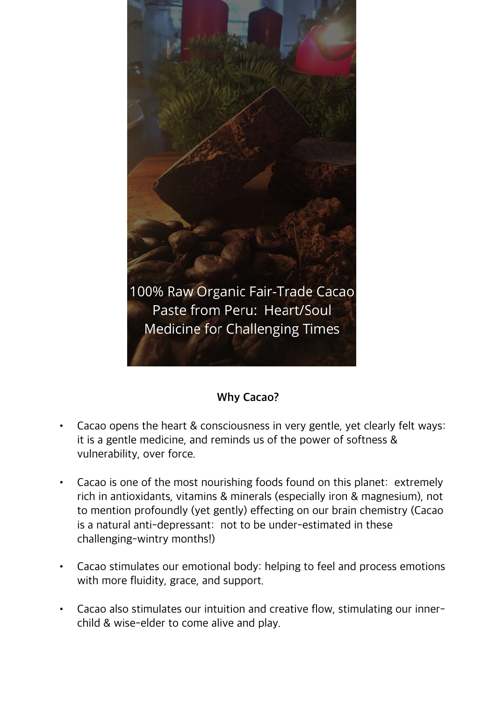

## **Why Cacao?**

- Cacao opens the heart & consciousness in very gentle, yet clearly felt ways: it is a gentle medicine, and reminds us of the power of softness & vulnerability, over force.
- Cacao is one of the most nourishing foods found on this planet: extremely rich in antioxidants, vitamins & minerals (especially iron & magnesium), not to mention profoundly (yet gently) effecting on our brain chemistry (Cacao is a natural anti-depressant: not to be under-estimated in these challenging-wintry months!)
- Cacao stimulates our emotional body: helping to feel and process emotions with more fluidity, grace, and support.
- Cacao also stimulates our intuition and creative flow, stimulating our innerchild & wise-elder to come alive and play.